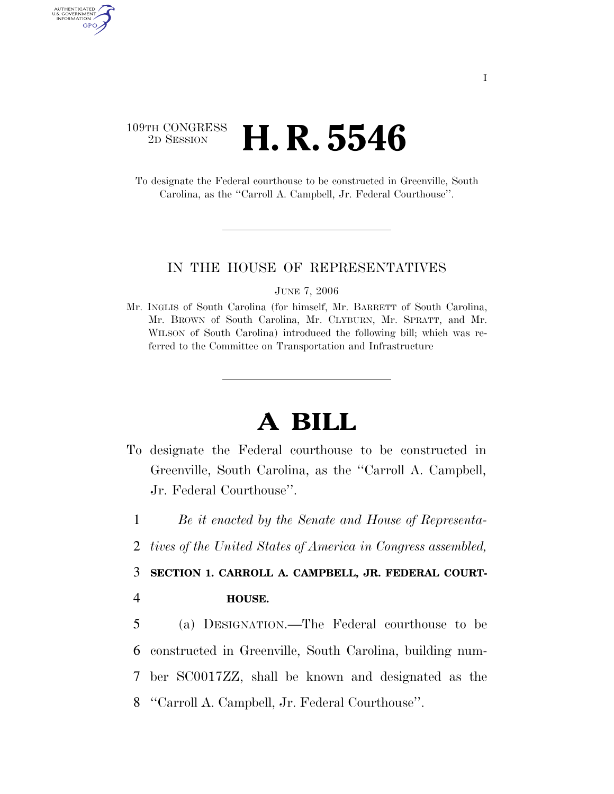## 109TH CONGRESS <sup>2D SESSION</sup> **H. R. 5546**

AUTHENTICATED U.S. GOVERNMENT GPO

> To designate the Federal courthouse to be constructed in Greenville, South Carolina, as the ''Carroll A. Campbell, Jr. Federal Courthouse''.

## IN THE HOUSE OF REPRESENTATIVES

JUNE 7, 2006

Mr. INGLIS of South Carolina (for himself, Mr. BARRETT of South Carolina, Mr. BROWN of South Carolina, Mr. CLYBURN, Mr. SPRATT, and Mr. WILSON of South Carolina) introduced the following bill; which was referred to the Committee on Transportation and Infrastructure

## **A BILL**

To designate the Federal courthouse to be constructed in Greenville, South Carolina, as the ''Carroll A. Campbell, Jr. Federal Courthouse''.

1 *Be it enacted by the Senate and House of Representa-*

2 *tives of the United States of America in Congress assembled,* 

3 **SECTION 1. CARROLL A. CAMPBELL, JR. FEDERAL COURT-**

- 4 **HOUSE.**
- 5 (a) DESIGNATION.—The Federal courthouse to be 6 constructed in Greenville, South Carolina, building num-7 ber SC0017ZZ, shall be known and designated as the 8 ''Carroll A. Campbell, Jr. Federal Courthouse''.